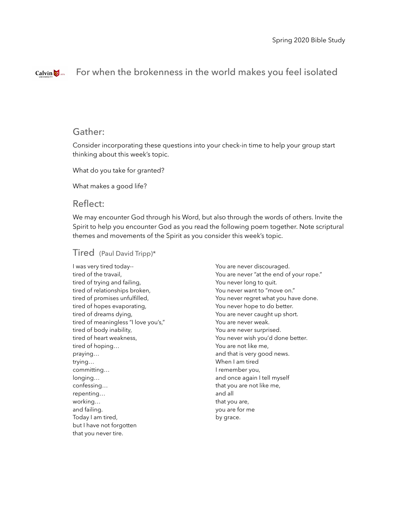#### For when the brokenness in the world makes you feel isolatedCalvin  $\bigotimes$  1876

# Gather:

Consider incorporating these questions into your check-in time to help your group start thinking about this week's topic.

What do you take for granted?

What makes a good life?

### Reflect:

We may encounter God through his Word, but also through the words of others. Invite the Spirit to help you encounter God as you read the following poem together. Note scriptural themes and movements of the Spirit as you consider this week's topic.

#### Tired (Paul David Tripp)\*

I was very tired today- tired of the travail, tired of trying and failing, tired of relationships broken, tired of promises unfulfilled, tired of hopes evaporating, tired of dreams dying, tired of meaningless "I love you's," tired of body inability, tired of heart weakness, tired of hoping… praying… trying… committing… longing… confessing… repenting… working… and failing. Today I am tired, but I have not forgotten that you never tire.

You are never discouraged. You are never "at the end of your rope." You never long to quit. You never want to "move on." You never regret what you have done. You never hope to do better. You are never caught up short. You are never weak. You are never surprised. You never wish you'd done better. You are not like me, and that is very good news. When I am tired I remember you, and once again I tell myself that you are not like me, and all that you are, you are for me by grace.